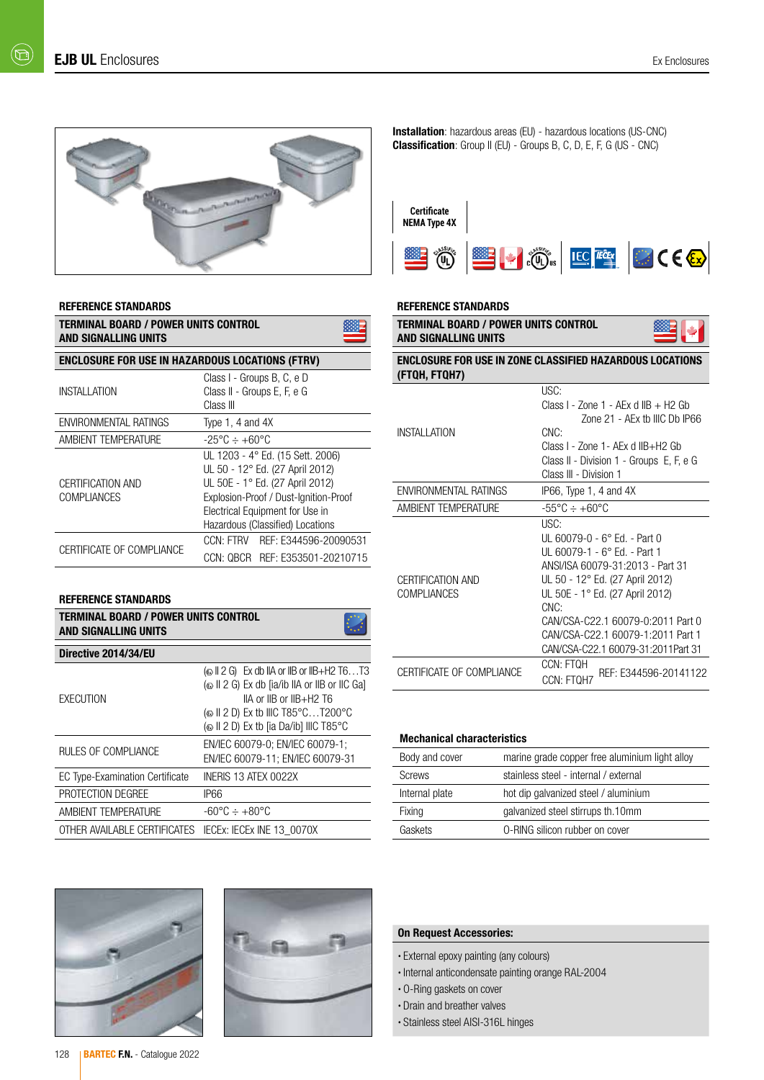

#### REFERENCE STANDARDS

| TERMINAL BOARD / POWER UNITS CONTROL<br>AND SIGNALLING UNITS |                                                                                                                                                                                                                        |  |  |  |  |  |  |  |  |  |  |
|--------------------------------------------------------------|------------------------------------------------------------------------------------------------------------------------------------------------------------------------------------------------------------------------|--|--|--|--|--|--|--|--|--|--|
| <b>ENCLOSURE FOR USE IN HAZARDOUS LOCATIONS (FTRV)</b>       |                                                                                                                                                                                                                        |  |  |  |  |  |  |  |  |  |  |
| INSTALLATION                                                 | Class I - Groups B, C, e D<br>Class II - Groups E, F, e G<br>Class III                                                                                                                                                 |  |  |  |  |  |  |  |  |  |  |
| <b>ENVIRONMENTAL RATINGS</b>                                 | Type 1, 4 and $4X$                                                                                                                                                                                                     |  |  |  |  |  |  |  |  |  |  |
| AMBIENT TEMPERATURE                                          | $-25^{\circ}$ C $\div$ +60°C                                                                                                                                                                                           |  |  |  |  |  |  |  |  |  |  |
| CERTIFICATION AND<br>COMPI IANCES                            | UL 1203 - 4° Ed. (15 Sett. 2006)<br>UL 50 - 12° Ed. (27 April 2012)<br>UL 50E - 1° Ed. (27 April 2012)<br>Explosion-Proof / Dust-Ignition-Proof<br>Electrical Equipment for Use in<br>Hazardous (Classified) Locations |  |  |  |  |  |  |  |  |  |  |
| CERTIFICATE OF COMPLIANCE                                    | CCN: FTRV REF: E344596-20090531<br>CCN: OBCR REF: E353501-20210715                                                                                                                                                     |  |  |  |  |  |  |  |  |  |  |

## REFERENCE STANDARDS

| <b>TERMINAL BOARD / POWER UNITS CONTROL</b><br><b>AND SIGNALLING UNITS</b> |                                                                                          |  |  |  |  |  |  |  |  |
|----------------------------------------------------------------------------|------------------------------------------------------------------------------------------|--|--|--|--|--|--|--|--|
| Directive 2014/34/EU                                                       |                                                                                          |  |  |  |  |  |  |  |  |
| <b>EXECUTION</b>                                                           | $IIA$ or $IIB$ or $IIB+H2$ T6<br>( $\odot$ II 2 D) Ex tb [ia Da/ib] IIIC T85 $\degree$ C |  |  |  |  |  |  |  |  |
| RULES OF COMPLIANCE                                                        | EN/IEC 60079-0; EN/IEC 60079-1;<br>EN/IEC 60079-11: EN/IEC 60079-31                      |  |  |  |  |  |  |  |  |
| <b>EC Type-Examination Certificate</b>                                     | INERIS 13 ATEX 0022X                                                                     |  |  |  |  |  |  |  |  |
| PROTECTION DEGREE                                                          | IP66                                                                                     |  |  |  |  |  |  |  |  |
| AMBIENT TEMPERATURE                                                        | $-60^{\circ}$ C $\div$ $+80^{\circ}$ C                                                   |  |  |  |  |  |  |  |  |
| OTHER AVAILABLE CERTIFICATES                                               | IECEX: IECEX INE 13 0070X                                                                |  |  |  |  |  |  |  |  |





#### REFERENCE STANDARDS

| TERMINAL BOARD / POWER UNITS CONTROL<br><b>AND SIGNALLING UNITS</b>              |                                                                                                                                                                                                                                                                                                              |  |  |  |  |  |  |  |
|----------------------------------------------------------------------------------|--------------------------------------------------------------------------------------------------------------------------------------------------------------------------------------------------------------------------------------------------------------------------------------------------------------|--|--|--|--|--|--|--|
| <b>ENCLOSURE FOR USE IN ZONE CLASSIFIED HAZARDOUS LOCATIONS</b><br>(FTQH, FTQH7) |                                                                                                                                                                                                                                                                                                              |  |  |  |  |  |  |  |
| <b>INSTALL ATION</b>                                                             | USC:<br>Class I - $7$ one 1 - AFx d IIB + H $2$ Gb<br>Zone 21 - AEx tb IIIC Db IP66<br>$CMC$ :<br>Class I - Zone 1 - AEx d IIB+H2 Gb<br>Class II - Division 1 - Groups E, F, e G<br>Class III - Division 1                                                                                                   |  |  |  |  |  |  |  |
| ENVIRONMENTAL RATINGS                                                            | $IP66$ , Type 1, 4 and $4X$                                                                                                                                                                                                                                                                                  |  |  |  |  |  |  |  |
| <b>AMBIENT TEMPERATURE</b>                                                       | $-55^{\circ}$ C $\div$ +60 $^{\circ}$ C                                                                                                                                                                                                                                                                      |  |  |  |  |  |  |  |
| <b>CERTIFICATION AND</b><br>COMPI IANCES                                         | USC:<br>UL 60079-0 - 6° Ed. - Part 0<br>$III$ 60079-1 - 6° Ed. - Part 1<br>ANSI/ISA 60079-31:2013 - Part 31<br>UL 50 - 12° Ed. (27 April 2012)<br>UL 50E - 1° Ed. (27 April 2012)<br>$CNC$ :<br>CAN/CSA-C22.1 60079-0:2011 Part 0<br>CAN/CSA-C22.1 60079-1:2011 Part 1<br>CAN/CSA-C22.1 60079-31:2011Part 31 |  |  |  |  |  |  |  |
| CERTIFICATE OF COMPLIANCE                                                        | CCN: FTOH<br>REF: E344596-20141122<br>CCN: FTOH7                                                                                                                                                                                                                                                             |  |  |  |  |  |  |  |

#### Mechanical characteristics

| Body and cover | marine grade copper free aluminium light alloy |
|----------------|------------------------------------------------|
| <b>Screws</b>  | stainless steel - internal / external          |
| Internal plate | hot dip galvanized steel / aluminium           |
| Fixing         | galvanized steel stirrups th.10mm              |
| Gaskets        | O-RING silicon rubber on cover                 |

## On Request Accessories:

- External epoxy painting (any colours)
- Internal anticondensate painting orange RAL-2004
- O-Ring gaskets on cover
- Drain and breather valves
- Stainless steel AISI-316L hinges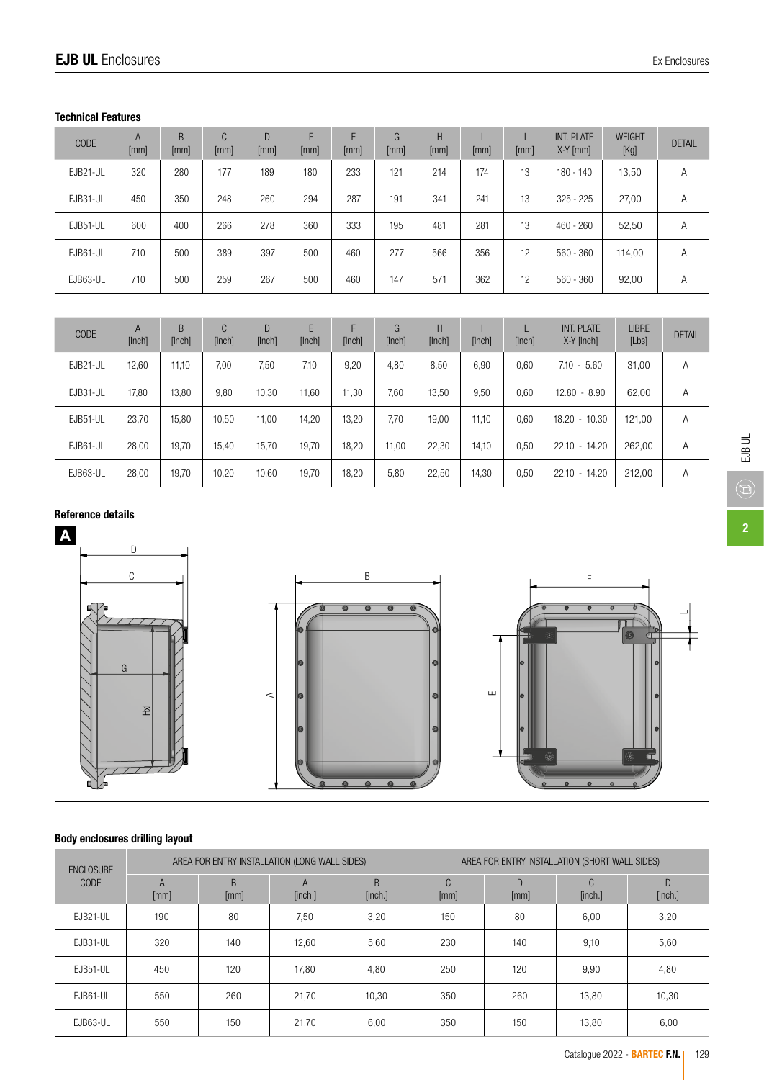## Technical Features

| CODE     | $\overline{A}$<br>[mm] | B<br>[mm] | C<br>[mm] | D<br>[mm] | E<br>[mm] | F<br>[mm] | G<br>[mm] | H<br>[mm] | [mm] | [mm] | INT. PLATE<br>$X-Y$ [mm] | <b>WEIGHT</b><br>[Kg] | <b>DETAIL</b> |
|----------|------------------------|-----------|-----------|-----------|-----------|-----------|-----------|-----------|------|------|--------------------------|-----------------------|---------------|
| EJB21-UL | 320                    | 280       | 177       | 189       | 180       | 233       | 121       | 214       | 174  | 13   | 180 - 140                | 13,50                 | Α             |
| EJB31-UL | 450                    | 350       | 248       | 260       | 294       | 287       | 191       | 341       | 241  | 13   | $325 - 225$              | 27,00                 | Α             |
| EJB51-UL | 600                    | 400       | 266       | 278       | 360       | 333       | 195       | 481       | 281  | 13   | $460 - 260$              | 52,50                 | Α             |
| EJB61-UL | 710                    | 500       | 389       | 397       | 500       | 460       | 277       | 566       | 356  | 12   | $560 - 360$              | 114,00                | Α             |
| EJB63-UL | 710                    | 500       | 259       | 267       | 500       | 460       | 147       | 571       | 362  | 12   | $560 - 360$              | 92,00                 | A             |

| CODE     | A<br>[Inch] | B<br>[Inch] | C<br>[Inch] | D<br>[Inch] | E<br>[Inch] | F<br>[Inch] | G<br>[Inch] | H<br>[Inch] | [Inch] | [Inch] | INT. PLATE<br>$X-Y$ [Inch] | <b>LIBRE</b><br>[Lbs] | <b>DETAIL</b> |
|----------|-------------|-------------|-------------|-------------|-------------|-------------|-------------|-------------|--------|--------|----------------------------|-----------------------|---------------|
| EJB21-UL | 12.60       | 11.10       | 7.00        | 7,50        | 7.10        | 9,20        | 4.80        | 8,50        | 6.90   | 0.60   | $7.10 - 5.60$              | 31.00                 | Α             |
| EJB31-UL | 17,80       | 13,80       | 9,80        | 10,30       | 11,60       | 11,30       | 7,60        | 13,50       | 9,50   | 0.60   | 12.80<br>$-8.90$           | 62,00                 | Α             |
| EJB51-UL | 23,70       | 15.80       | 10.50       | 11,00       | 14,20       | 13,20       | 7.70        | 19,00       | 11.10  | 0,60   | 18.20<br>$-10.30$          | 121,00                | Α             |
| EJB61-UL | 28,00       | 19.70       | 15.40       | 15.70       | 19.70       | 18,20       | 11,00       | 22,30       | 14.10  | 0,50   | $22.10 - 14.20$            | 262,00                | A             |
| EJB63-UL | 28,00       | 19.70       | 10,20       | 10,60       | 19,70       | 18,20       | 5,80        | 22,50       | 14,30  | 0.50   | $22.10 - 14.20$            | 212,00                | Α             |

# Reference details



## Body enclosures drilling layout

| <b>ENCLOSURE</b><br><b>CODE</b> |                        |           | AREA FOR ENTRY INSTALLATION (LONG WALL SIDES) |               | AREA FOR ENTRY INSTALLATION (SHORT WALL SIDES) |           |                          |              |  |  |
|---------------------------------|------------------------|-----------|-----------------------------------------------|---------------|------------------------------------------------|-----------|--------------------------|--------------|--|--|
|                                 | $\overline{A}$<br>[mm] | B<br>[mm] | $\overline{A}$<br>[inch.]                     | B.<br>[inch.] | C<br>[mm]                                      | D<br>[mm] | $\mathcal{C}$<br>[inch.] | D<br>[inch.] |  |  |
| EJB21-UL                        | 190                    | 80        | 7,50                                          | 3,20          | 150                                            | 80        | 6,00                     | 3,20         |  |  |
| EJB31-UL                        | 320                    | 140       | 12,60                                         | 5,60          | 230                                            | 140       | 9,10                     | 5,60         |  |  |
| EJB51-UL                        | 450                    | 120       | 17.80                                         | 4,80          | 250                                            | 120       | 9,90                     | 4,80         |  |  |
| EJB61-UL                        | 550                    | 260       | 21.70                                         | 10.30         | 350                                            | 260       | 13,80                    | 10,30        |  |  |
| EJB63-UL                        | 550                    | 150       | 21,70                                         | 6,00          | 350                                            | 150       | 13,80                    | 6,00         |  |  |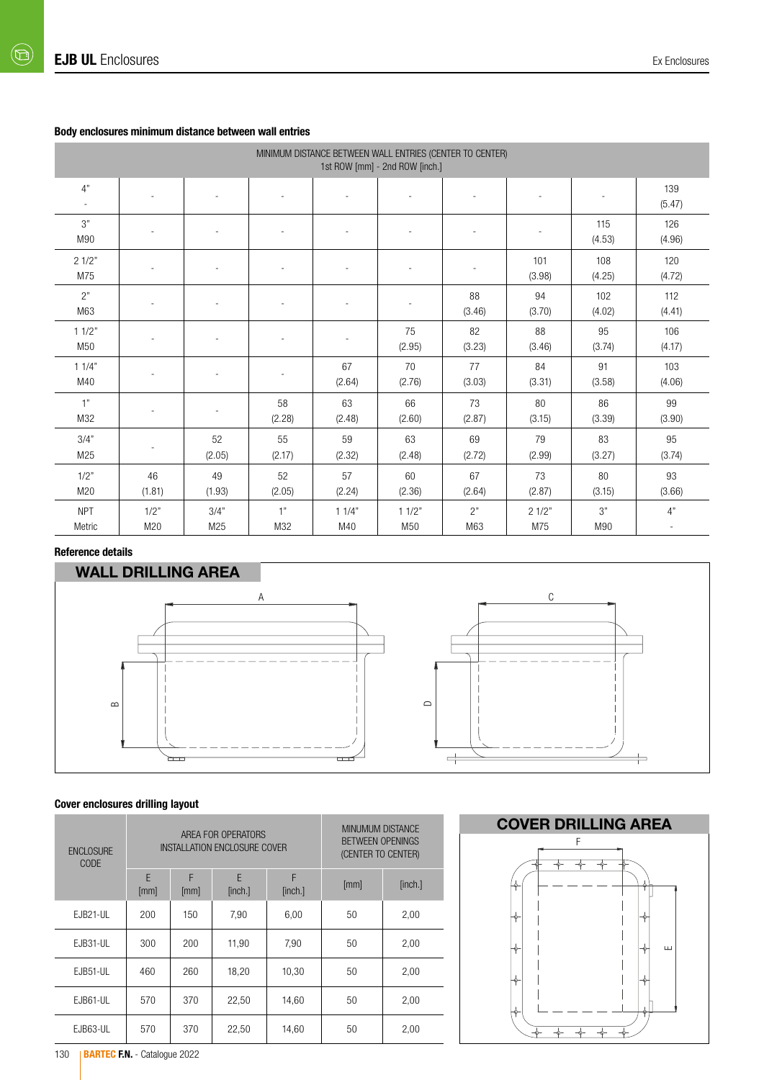## Body enclosures minimum distance between wall entries

| MINIMUM DISTANCE BETWEEN WALL ENTRIES (CENTER TO CENTER)<br>1st ROW [mm] - 2nd ROW [inch.] |              |                          |              |                |                          |              |               |               |               |  |  |  |  |
|--------------------------------------------------------------------------------------------|--------------|--------------------------|--------------|----------------|--------------------------|--------------|---------------|---------------|---------------|--|--|--|--|
| 4"                                                                                         |              |                          |              |                |                          |              |               | ٠             | 139<br>(5.47) |  |  |  |  |
| 3"<br>M90                                                                                  |              | $\sim$                   |              | ×.             | ٠                        |              |               | 115<br>(4.53) | 126<br>(4.96) |  |  |  |  |
| 21/2"<br>M75                                                                               |              |                          |              |                |                          |              | 101<br>(3.98) | 108<br>(4.25) | 120<br>(4.72) |  |  |  |  |
| 2"<br>M63                                                                                  |              | $\overline{\phantom{a}}$ |              | ٠              | $\overline{\phantom{a}}$ | 88<br>(3.46) | 94<br>(3.70)  | 102<br>(4.02) | 112<br>(4.41) |  |  |  |  |
| 11/2"<br>M50                                                                               | $\sim$       | $\sim$                   | $\sim$       | $\overline{a}$ | 75<br>(2.95)             | 82<br>(3.23) | 88<br>(3.46)  | 95<br>(3.74)  | 106<br>(4.17) |  |  |  |  |
| 11/4"<br>M40                                                                               |              |                          |              | 67<br>(2.64)   | 70<br>(2.76)             | 77<br>(3.03) | 84<br>(3.31)  | 91<br>(3.58)  | 103<br>(4.06) |  |  |  |  |
| 1"<br>M32                                                                                  |              | $\sim$                   | 58<br>(2.28) | 63<br>(2.48)   | 66<br>(2.60)             | 73<br>(2.87) | 80<br>(3.15)  | 86<br>(3.39)  | 99<br>(3.90)  |  |  |  |  |
| 3/4"<br>M25                                                                                | $\sim$       | 52<br>(2.05)             | 55<br>(2.17) | 59<br>(2.32)   | 63<br>(2.48)             | 69<br>(2.72) | 79<br>(2.99)  | 83<br>(3.27)  | 95<br>(3.74)  |  |  |  |  |
| 1/2"<br>M20                                                                                | 46<br>(1.81) | 49<br>(1.93)             | 52<br>(2.05) | 57<br>(2.24)   | 60<br>(2.36)             | 67<br>(2.64) | 73<br>(2.87)  | 80<br>(3.15)  | 93<br>(3.66)  |  |  |  |  |
| <b>NPT</b><br>Metric                                                                       | 1/2"<br>M20  | 3/4"<br>M25              | 1"<br>M32    | 11/4"<br>M40   | 11/2"<br>M50             | 2"<br>M63    | 21/2"<br>M75  | 3"<br>M90     | 4"            |  |  |  |  |

### Reference details



## Cover enclosures drilling layout

| <b>ENCLOSURE</b><br>CODE |           |           | AREA FOR OPERATORS<br>INSTALLATION ENCLOSURE COVER | MINUMUM DISTANCE<br><b>BETWEEN OPENINGS</b><br>(CENTER TO CENTER) |      |         |
|--------------------------|-----------|-----------|----------------------------------------------------|-------------------------------------------------------------------|------|---------|
|                          | E<br>[mm] | F<br>[mm] | E<br>[inch.]                                       | F<br>[inch.]                                                      | [mm] | [inch.] |
| EJB21-UL                 | 200       | 150       | 7,90                                               | 6,00                                                              | 50   | 2,00    |
| EJB31-UL                 | 300       | 200       | 11,90                                              | 7,90                                                              | 50   | 2,00    |
| EJB51-UL                 | 460       | 260       | 18,20                                              | 10,30                                                             | 50   | 2,00    |
| EJB61-UL                 | 570       | 370       | 22,50                                              | 14.60                                                             | 50   | 2,00    |
| EJB63-UL                 | 570       | 370       | 22,50                                              | 14,60                                                             | 50   | 2,00    |